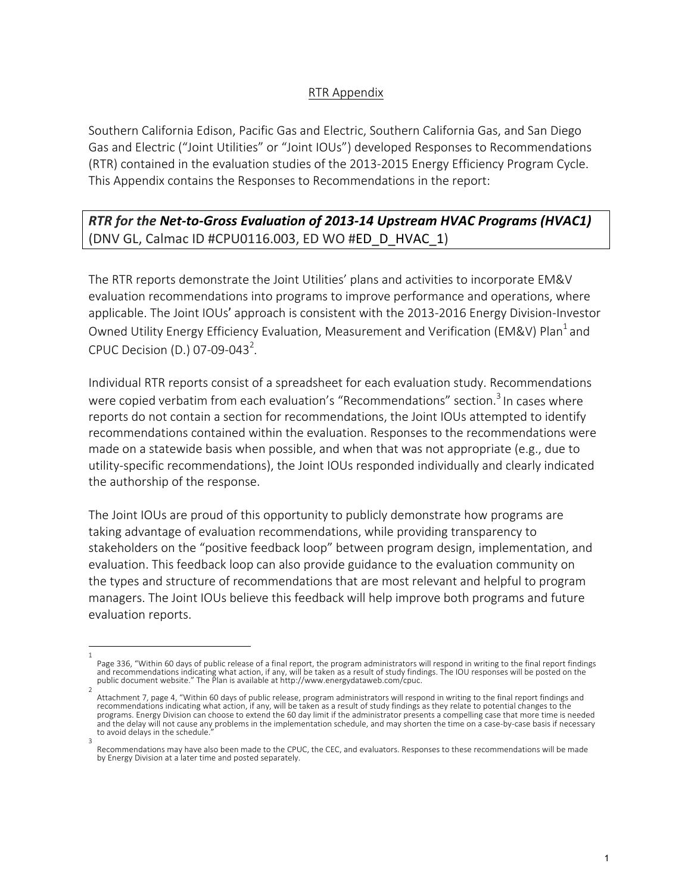## RTR Appendix

Southern California Edison, Pacific Gas and Electric, Southern California Gas, and San Diego Gas and Electric ("Joint Utilities" or "Joint IOUs") developed Responses to Recommendations (RTR) contained in the evaluation studies of the 2013-2015 Energy Efficiency Program Cycle. This Appendix contains the Responses to Recommendations in the report:

## **RTR** for the Net-to-Gross Evaluation of 2013-14 Upstream HVAC Programs (HVAC1) (DNV GL, Calmac ID #CPU0116.003, ED WO #ED\_D\_HVAC\_1)

The RTR reports demonstrate the Joint Utilities' plans and activities to incorporate EM&V evaluation recommendations into programs to improve performance and operations, where applicable. The Joint IOUs' approach is consistent with the 2013-2016 Energy Division-Investor Owned Utility Energy Efficiency Evaluation, Measurement and Verification (EM&V) Plan<sup>1</sup> and CPUC Decision (D.) 07-09-043<sup>2</sup>.

Individual RTR reports consist of a spreadsheet for each evaluation study. Recommendations were copied verbatim from each evaluation's "Recommendations" section.<sup>3</sup> In cases where reports do not contain a section for recommendations, the Joint IOUs attempted to identify recommendations contained within the evaluation. Responses to the recommendations were made on a statewide basis when possible, and when that was not appropriate  $(e.g., die to$ utility-specific recommendations), the Joint IOUs responded individually and clearly indicated the authorship of the response.

The Joint IOUs are proud of this opportunity to publicly demonstrate how programs are taking advantage of evaluation recommendations, while providing transparency to stakeholders on the "positive feedback loop" between program design, implementation, and evaluation. This feedback loop can also provide guidance to the evaluation community on the types and structure of recommendations that are most relevant and helpful to program managers. The Joint IOUs believe this feedback will help improve both programs and future evaluation reports.

<sup>1</sup>  Page 336, "Within 60 days of public release of a final report, the program administrators will respond in writing to the final report findings and recommendations indicating what action, if any, will be taken as a result of study findings. The IOU responses will be posted on the public document website." The Plan is available at http://www.energydataweb.com/cpuc.

<sup>2</sup>  Attachment 7, page 4, "Within 60 days of public release, program administrators will respond in writing to the final report findings and recommendations indicating what action, if any, will be taken as a result of study findings as they relate to potential changes to the programs. Energy Division can choose to extend the 60 day limit if the administrator presents a compelling case that more time is needed and the delay will not cause any problems in the implementation schedule, and may shorten the time on a case-by-case basis if necessary to avoid delays in the schedule. 3 

Recommendations may have also been made to the CPUC, the CEC, and evaluators. Responses to these recommendations will be made by Energy Division at a later time and posted separately.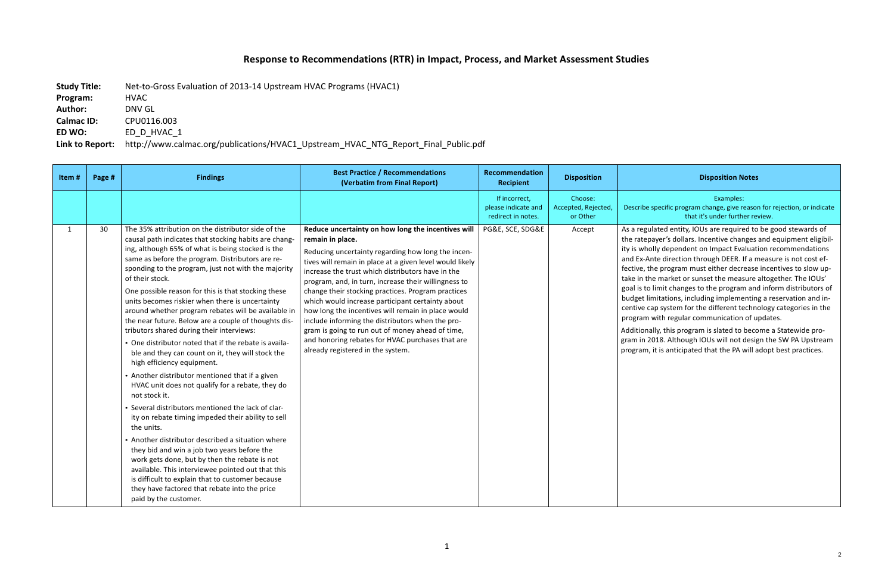## **Response to Recommendations (RTR) in Impact, Process, and Market Assessment Studies**

**Study Title:** Net-to-Gross Evaluation of 2013-14 Upstream HVAC Programs (HVAC1)

## **Disposition Notes**

| Program:   | <b>HVAC</b> |  |  |
|------------|-------------|--|--|
| Author:    | DNV GL      |  |  |
| Calmac ID: | CPU0116.003 |  |  |
| ED WO:     | ED D HVAC 1 |  |  |

Link to Report: http://www.calmac.org/publications/HVAC1\_Upstream\_HVAC\_NTG\_Report\_Final\_Public.pdf

Examples: 

cific program change, give reason for rejection, or indicate that it's under further review.

ed entity, IOUs are required to be good stewards of er's dollars. Incentive changes and equipment eligibildependent on Impact Evaluation recommendations direction through DEER. If a measure is not cost efprogram must either decrease incentives to slow upmarket or sunset the measure altogether. The IOUs' nit changes to the program and inform distributors of tations, including implementing a reservation and insystem for the different technology categories in the th regular communication of updates.

this program is slated to become a Statewide pro-8. Although IOUs will not design the SW PA Upstream is anticipated that the PA will adopt best practices.

| Item# | Page # | <b>Findings</b>                                                                                                                                                                                                                                                                                                                                                                                                                                                                                                                                                                                                                                                                                                                                                                                                                                                                                                                                                                                                                                                                                                                                                                                                                                                                                            | <b>Best Practice / Recommendations</b><br>(Verbatim from Final Report)                                                                                                                                                                                                                                                                                                                                                                                                                                                                                                                                                                                                 | Recommendation<br><b>Recipient</b>                         | <b>Disposition</b>                         |                                                                                                                                                                                                                 |
|-------|--------|------------------------------------------------------------------------------------------------------------------------------------------------------------------------------------------------------------------------------------------------------------------------------------------------------------------------------------------------------------------------------------------------------------------------------------------------------------------------------------------------------------------------------------------------------------------------------------------------------------------------------------------------------------------------------------------------------------------------------------------------------------------------------------------------------------------------------------------------------------------------------------------------------------------------------------------------------------------------------------------------------------------------------------------------------------------------------------------------------------------------------------------------------------------------------------------------------------------------------------------------------------------------------------------------------------|------------------------------------------------------------------------------------------------------------------------------------------------------------------------------------------------------------------------------------------------------------------------------------------------------------------------------------------------------------------------------------------------------------------------------------------------------------------------------------------------------------------------------------------------------------------------------------------------------------------------------------------------------------------------|------------------------------------------------------------|--------------------------------------------|-----------------------------------------------------------------------------------------------------------------------------------------------------------------------------------------------------------------|
|       |        |                                                                                                                                                                                                                                                                                                                                                                                                                                                                                                                                                                                                                                                                                                                                                                                                                                                                                                                                                                                                                                                                                                                                                                                                                                                                                                            |                                                                                                                                                                                                                                                                                                                                                                                                                                                                                                                                                                                                                                                                        | If incorrect,<br>please indicate and<br>redirect in notes. | Choose:<br>Accepted, Rejected,<br>or Other | Describe spe                                                                                                                                                                                                    |
| 1     | 30     | The 35% attribution on the distributor side of the<br>causal path indicates that stocking habits are chang-<br>ing, although 65% of what is being stocked is the<br>same as before the program. Distributors are re-<br>sponding to the program, just not with the majority<br>of their stock.<br>One possible reason for this is that stocking these<br>units becomes riskier when there is uncertainty<br>around whether program rebates will be available in<br>the near future. Below are a couple of thoughts dis-<br>tributors shared during their interviews:<br>• One distributor noted that if the rebate is availa-<br>ble and they can count on it, they will stock the<br>high efficiency equipment.<br>• Another distributor mentioned that if a given<br>HVAC unit does not qualify for a rebate, they do<br>not stock it.<br>• Several distributors mentioned the lack of clar-<br>ity on rebate timing impeded their ability to sell<br>the units.<br>• Another distributor described a situation where<br>they bid and win a job two years before the<br>work gets done, but by then the rebate is not<br>available. This interviewee pointed out that this<br>is difficult to explain that to customer because<br>they have factored that rebate into the price<br>paid by the customer. | Reduce uncertainty on how long the incentives will<br>remain in place.<br>Reducing uncertainty regarding how long the incen-<br>tives will remain in place at a given level would likely<br>increase the trust which distributors have in the<br>program, and, in turn, increase their willingness to<br>change their stocking practices. Program practices<br>which would increase participant certainty about<br>how long the incentives will remain in place would<br>include informing the distributors when the pro-<br>gram is going to run out of money ahead of time,<br>and honoring rebates for HVAC purchases that are<br>already registered in the system. | PG&E, SCE, SDG&E                                           | Accept                                     | As a regulate<br>the ratepay<br>ity is wholly<br>and Ex-Ante<br>fective, the<br>take in the r<br>goal is to lin<br>budget limit<br>centive cap<br>program wit<br>Additionally,<br>gram in 2018<br>program, it i |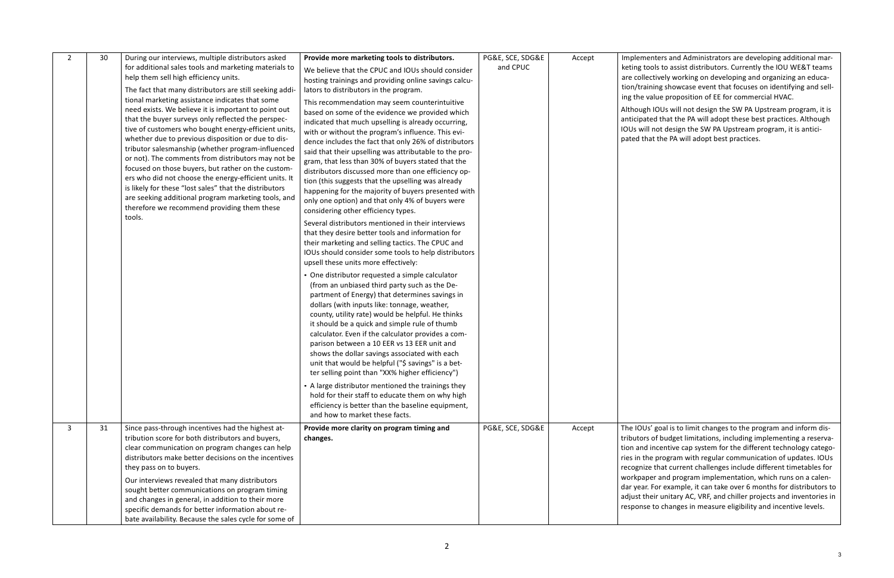ers and Administrators are developing additional mars to assist distributors. Currently the IOU WE&T teams vely working on developing and organizing an educa-1g showcase event that focuses on identifying and sellie proposition of EE for commercial HVAC.

OUs will not design the SW PA Upstream program, it is that the PA will adopt these best practices. Although ot design the SW PA Upstream program, it is anticithe PA will adopt best practices.

goal is to limit changes to the program and inform disf budget limitations, including implementing a reservacentive cap system for the different technology categoprogram with regular communication of updates. IOUs hat current challenges include different timetables for and program implementation, which runs on a calenor example, it can take over 6 months for distributors to  $\cdot$  unitary AC, VRF, and chiller projects and inventories in responserinaneasure eligibility and incentive levels.

| $\overline{2}$ | 30 | During our interviews, multiple distributors asked<br>for additional sales tools and marketing materials to<br>help them sell high efficiency units.<br>The fact that many distributors are still seeking addi-<br>tional marketing assistance indicates that some                                                                                                                                                                                                                                                                                                                                                           | Provide more marketing tools to distributors.<br>We believe that the CPUC and IOUs should consider<br>hosting trainings and providing online savings calcu-<br>lators to distributors in the program.<br>This recommendation may seem counterintuitive                                                                                                                                                                                                                                                                                                                                               | PG&E, SCE, SDG&E<br>and CPUC | Accept | Implemente<br>keting tools<br>are collectiv<br>tion/trainin<br>ing the valu   |
|----------------|----|------------------------------------------------------------------------------------------------------------------------------------------------------------------------------------------------------------------------------------------------------------------------------------------------------------------------------------------------------------------------------------------------------------------------------------------------------------------------------------------------------------------------------------------------------------------------------------------------------------------------------|------------------------------------------------------------------------------------------------------------------------------------------------------------------------------------------------------------------------------------------------------------------------------------------------------------------------------------------------------------------------------------------------------------------------------------------------------------------------------------------------------------------------------------------------------------------------------------------------------|------------------------------|--------|-------------------------------------------------------------------------------|
|                |    | need exists. We believe it is important to point out<br>that the buyer surveys only reflected the perspec-<br>tive of customers who bought energy-efficient units,<br>whether due to previous disposition or due to dis-<br>tributor salesmanship (whether program-influenced<br>or not). The comments from distributors may not be<br>focused on those buyers, but rather on the custom-<br>ers who did not choose the energy-efficient units. It<br>is likely for these "lost sales" that the distributors<br>are seeking additional program marketing tools, and<br>therefore we recommend providing them these<br>tools. | based on some of the evidence we provided which<br>indicated that much upselling is already occurring,<br>with or without the program's influence. This evi-<br>dence includes the fact that only 26% of distributors<br>said that their upselling was attributable to the pro-<br>gram, that less than 30% of buyers stated that the<br>distributors discussed more than one efficiency op-<br>tion (this suggests that the upselling was already<br>happening for the majority of buyers presented with<br>only one option) and that only 4% of buyers were<br>considering other efficiency types. |                              |        | Although IO<br>anticipated<br>IOUs will no<br>pated that t                    |
|                |    |                                                                                                                                                                                                                                                                                                                                                                                                                                                                                                                                                                                                                              | Several distributors mentioned in their interviews<br>that they desire better tools and information for<br>their marketing and selling tactics. The CPUC and<br>IOUs should consider some tools to help distributors<br>upsell these units more effectively:                                                                                                                                                                                                                                                                                                                                         |                              |        |                                                                               |
|                |    |                                                                                                                                                                                                                                                                                                                                                                                                                                                                                                                                                                                                                              | • One distributor requested a simple calculator<br>(from an unbiased third party such as the De-<br>partment of Energy) that determines savings in<br>dollars (with inputs like: tonnage, weather,<br>county, utility rate) would be helpful. He thinks<br>it should be a quick and simple rule of thumb<br>calculator. Even if the calculator provides a com-<br>parison between a 10 EER vs 13 EER unit and<br>shows the dollar savings associated with each<br>unit that would be helpful ("\$ savings" is a bet-<br>ter selling point than "XX% higher efficiency")                              |                              |        |                                                                               |
|                |    |                                                                                                                                                                                                                                                                                                                                                                                                                                                                                                                                                                                                                              | • A large distributor mentioned the trainings they<br>hold for their staff to educate them on why high<br>efficiency is better than the baseline equipment,<br>and how to market these facts.                                                                                                                                                                                                                                                                                                                                                                                                        |                              |        |                                                                               |
| 3              | 31 | Since pass-through incentives had the highest at-<br>tribution score for both distributors and buyers,<br>clear communication on program changes can help<br>distributors make better decisions on the incentives<br>they pass on to buyers.                                                                                                                                                                                                                                                                                                                                                                                 | Provide more clarity on program timing and<br>changes.                                                                                                                                                                                                                                                                                                                                                                                                                                                                                                                                               | PG&E, SCE, SDG&E             | Accept | The IOUs' go<br>tributors of<br>tion and inc<br>ries in the p<br>recognize th |
|                |    | Our interviews revealed that many distributors<br>sought better communications on program timing<br>and changes in general, in addition to their more<br>specific demands for better information about re-<br>bate availability. Because the sales cycle for some of                                                                                                                                                                                                                                                                                                                                                         |                                                                                                                                                                                                                                                                                                                                                                                                                                                                                                                                                                                                      |                              |        | workpaper a<br>dar year. For<br>adjust their<br>response to                   |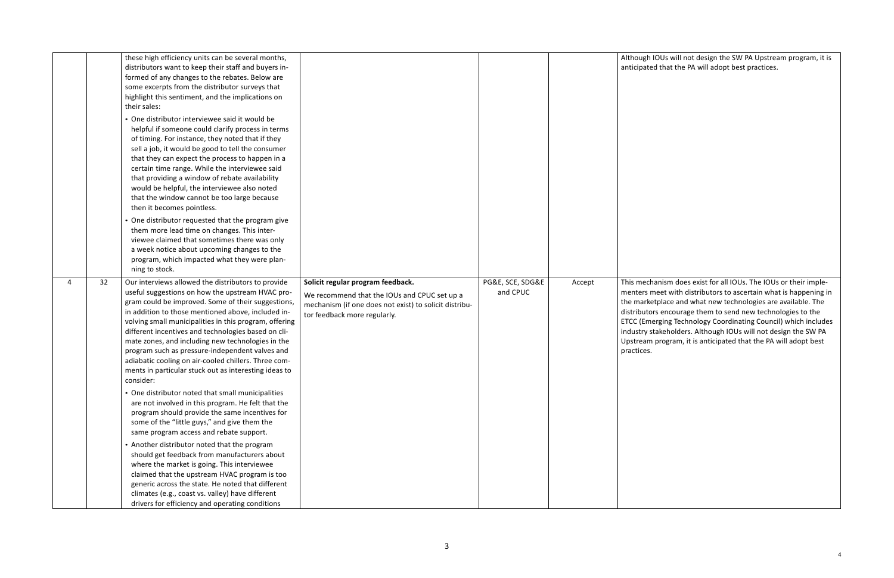OUs will not design the SW PA Upstream program, it is I that the PA will adopt best practices.

anism does exist for all IOUs. The IOUs or their impleneet with distributors to ascertain what is happening in tplace and what new technologies are available. The s encourage them to send new technologies to the rging Technology Coordinating Council) which includes industrian state of the U.S. of the SW PA skeholders. Although IOUs will not design the SW PA orogram, it is anticipated that the PA will adopt best

|   |    | these high efficiency units can be several months,<br>distributors want to keep their staff and buyers in-<br>formed of any changes to the rebates. Below are<br>some excerpts from the distributor surveys that<br>highlight this sentiment, and the implications on<br>their sales:<br>• One distributor interviewee said it would be<br>helpful if someone could clarify process in terms<br>of timing. For instance, they noted that if they<br>sell a job, it would be good to tell the consumer<br>that they can expect the process to happen in a<br>certain time range. While the interviewee said<br>that providing a window of rebate availability<br>would be helpful, the interviewee also noted<br>that the window cannot be too large because<br>then it becomes pointless.<br>• One distributor requested that the program give<br>them more lead time on changes. This inter-<br>viewee claimed that sometimes there was only<br>a week notice about upcoming changes to the<br>program, which impacted what they were plan- |                                                                                                                                                                             |                              |        | Although IC<br>anticipated                                                                                              |
|---|----|----------------------------------------------------------------------------------------------------------------------------------------------------------------------------------------------------------------------------------------------------------------------------------------------------------------------------------------------------------------------------------------------------------------------------------------------------------------------------------------------------------------------------------------------------------------------------------------------------------------------------------------------------------------------------------------------------------------------------------------------------------------------------------------------------------------------------------------------------------------------------------------------------------------------------------------------------------------------------------------------------------------------------------------------|-----------------------------------------------------------------------------------------------------------------------------------------------------------------------------|------------------------------|--------|-------------------------------------------------------------------------------------------------------------------------|
| 4 | 32 | ning to stock.<br>Our interviews allowed the distributors to provide<br>useful suggestions on how the upstream HVAC pro-<br>gram could be improved. Some of their suggestions,<br>in addition to those mentioned above, included in-<br>volving small municipalities in this program, offering<br>different incentives and technologies based on cli-<br>mate zones, and including new technologies in the<br>program such as pressure-independent valves and<br>adiabatic cooling on air-cooled chillers. Three com-<br>ments in particular stuck out as interesting ideas to<br>consider:<br>• One distributor noted that small municipalities<br>are not involved in this program. He felt that the<br>program should provide the same incentives for<br>some of the "little guys," and give them the<br>same program access and rebate support.<br>• Another distributor noted that the program<br>should get feedback from manufacturers about                                                                                          | Solicit regular program feedback.<br>We recommend that the IOUs and CPUC set up a<br>mechanism (if one does not exist) to solicit distribu-<br>tor feedback more regularly. | PG&E, SCE, SDG&E<br>and CPUC | Accept | This mecha<br>menters me<br>the market<br>distributors<br><b>ETCC</b> (Emer<br>industry sta<br>Upstream p<br>practices. |
|   |    | where the market is going. This interviewee<br>claimed that the upstream HVAC program is too<br>generic across the state. He noted that different<br>climates (e.g., coast vs. valley) have different<br>drivers for efficiency and operating conditions                                                                                                                                                                                                                                                                                                                                                                                                                                                                                                                                                                                                                                                                                                                                                                                     |                                                                                                                                                                             |                              |        |                                                                                                                         |